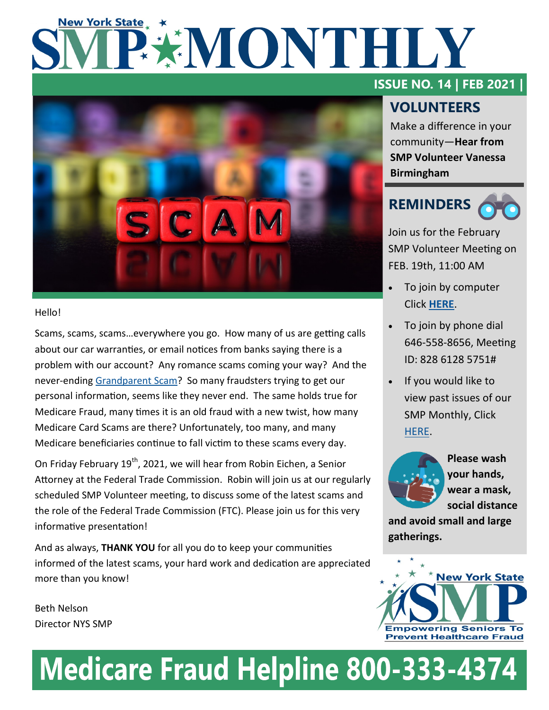# **New York State** PEMONTHLY



#### Hello!

Scams, scams, scams…everywhere you go. How many of us are getting calls about our car warranties, or email notices from banks saying there is a problem with our account? Any romance scams coming your way? And the never-ending [Grandparent Scam?](https://vimeo.com/224391892) So many fraudsters trying to get our personal information, seems like they never end. The same holds true for Medicare Fraud, many times it is an old fraud with a new twist, how many Medicare Card Scams are there? Unfortunately, too many, and many Medicare beneficiaries continue to fall victim to these scams every day.

On Friday February 19<sup>th</sup>, 2021, we will hear from Robin Eichen, a Senior Attorney at the Federal Trade Commission. Robin will join us at our regularly scheduled SMP Volunteer meeting, to discuss some of the latest scams and the role of the Federal Trade Commission (FTC). Please join us for this very informative presentation!

And as always, **THANK YOU** for all you do to keep your communities informed of the latest scams, your hard work and dedication are appreciated more than you know!

Beth Nelson Director NYS SMP

## **ISSUE NO. 14 | FEB 2021 |**

## **VOLUNTEERS**

Make a difference in your community—**Hear from SMP Volunteer Vanessa Birmingham**

## **REMINDERS**

Join us for the February SMP Volunteer Meeting on FEB. 19th, 11:00 AM

- To join by computer Click **[HERE](https://us02web.zoom.us/j/82861285751)**.
- To join by phone dial 646-558-8656, Meeting ID: 828 6128 5751#
- If you would like to view past issues of our SMP Monthly, Click [HERE.](https://www.nysenior.org/senior-medicare-patrol/smp-volunteer-information/)



**Please wash your hands, wear a mask, social distance** 

**and avoid small and large gatherings.** 



## **Medicare Fraud Helpline 800-333-4374**